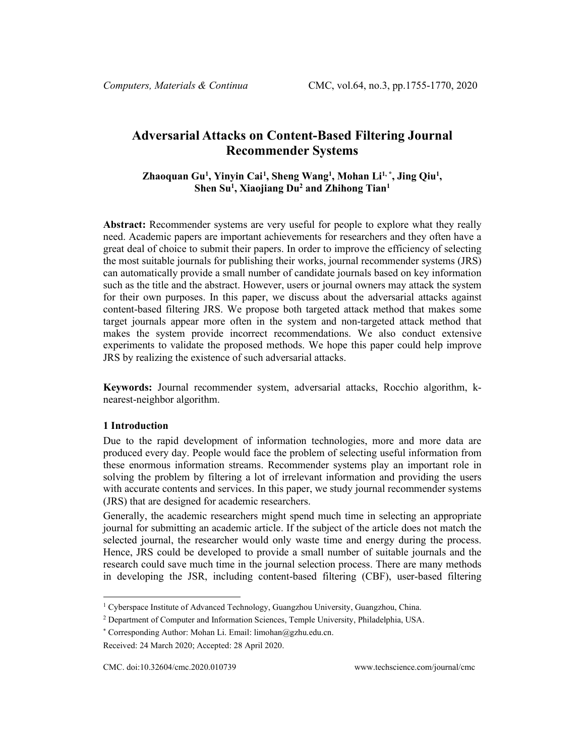# **Adversarial Attacks on Content-Based Filtering Journal Recommender Systems**

**Zhaoquan Gu1 , Yinyin Cai[1](#page-0-0) , Sheng Wang1 , Mohan Li1, \* , Jing Qiu1 , Shen Su1 , Xiaojiang Du2 and Zhihong Tian1**

**Abstract:** Recommender systems are very useful for people to explore what they really need. Academic papers are important achievements for researchers and they often have a great deal of choice to submit their papers. In order to improve the efficiency of selecting the most suitable journals for publishing their works, journal recommender systems (JRS) can automatically provide a small number of candidate journals based on key information such as the title and the abstract. However, users or journal owners may attack the system for their own purposes. In this paper, we discuss about the adversarial attacks against content-based filtering JRS. We propose both targeted attack method that makes some target journals appear more often in the system and non-targeted attack method that makes the system provide incorrect recommendations. We also conduct extensive experiments to validate the proposed methods. We hope this paper could help improve JRS by realizing the existence of such adversarial attacks.

**Keywords:** Journal recommender system, adversarial attacks, Rocchio algorithm, knearest-neighbor algorithm.

#### **1 Introduction**

Due to the rapid development of information technologies, more and more data are produced every day. People would face the problem of selecting useful information from these enormous information streams. Recommender systems play an important role in solving the problem by filtering a lot of irrelevant information and providing the users with accurate contents and services. In this paper, we study journal recommender systems (JRS) that are designed for academic researchers.

Generally, the academic researchers might spend much time in selecting an appropriate journal for submitting an academic article. If the subject of the article does not match the selected journal, the researcher would only waste time and energy during the process. Hence, JRS could be developed to provide a small number of suitable journals and the research could save much time in the journal selection process. There are many methods in developing the JSR, including content-based filtering (CBF), user-based filtering

<span id="page-0-0"></span><sup>1</sup> Cyberspace Institute of Advanced Technology, Guangzhou University, Guangzhou, China.

<sup>2</sup> Department of Computer and Information Sciences, Temple University, Philadelphia, USA.

<sup>\*</sup> Corresponding Author: Mohan Li. Email: limohan@gzhu.edu.cn.

Received: 24 March 2020; Accepted: 28 April 2020.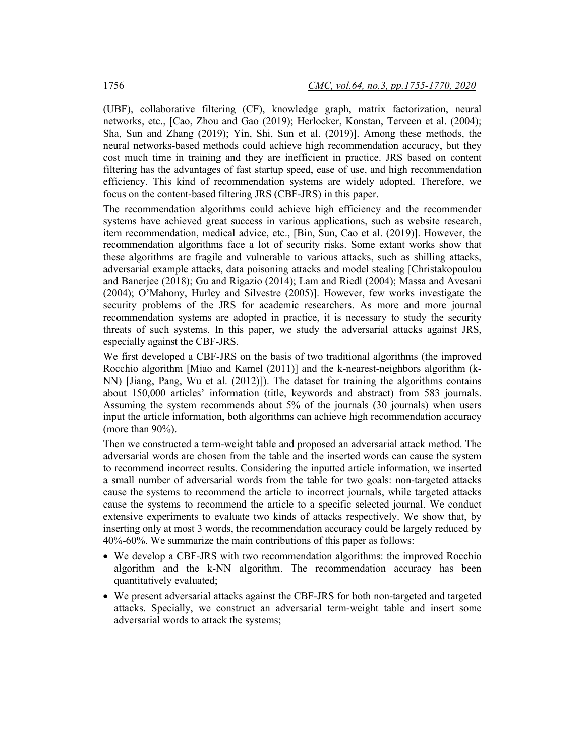(UBF), collaborative filtering (CF), knowledge graph, matrix factorization, neural networks, etc., [Cao, Zhou and Gao (2019); Herlocker, Konstan, Terveen et al. (2004); Sha, Sun and Zhang (2019); Yin, Shi, Sun et al. (2019)]. Among these methods, the neural networks-based methods could achieve high recommendation accuracy, but they cost much time in training and they are inefficient in practice. JRS based on content filtering has the advantages of fast startup speed, ease of use, and high recommendation efficiency. This kind of recommendation systems are widely adopted. Therefore, we focus on the content-based filtering JRS (CBF-JRS) in this paper.

The recommendation algorithms could achieve high efficiency and the recommender systems have achieved great success in various applications, such as website research, item recommendation, medical advice, etc., [Bin, Sun, Cao et al. (2019)]. However, the recommendation algorithms face a lot of security risks. Some extant works show that these algorithms are fragile and vulnerable to various attacks, such as shilling attacks, adversarial example attacks, data poisoning attacks and model stealing [Christakopoulou and Banerjee (2018); Gu and Rigazio (2014); Lam and Riedl (2004); Massa and Avesani (2004); O'Mahony, Hurley and Silvestre (2005)]. However, few works investigate the security problems of the JRS for academic researchers. As more and more journal recommendation systems are adopted in practice, it is necessary to study the security threats of such systems. In this paper, we study the adversarial attacks against JRS, especially against the CBF-JRS.

We first developed a CBF-JRS on the basis of two traditional algorithms (the improved Rocchio algorithm [Miao and Kamel (2011)] and the k-nearest-neighbors algorithm (k-NN) [Jiang, Pang, Wu et al. (2012)]). The dataset for training the algorithms contains about 150,000 articles' information (title, keywords and abstract) from 583 journals. Assuming the system recommends about 5% of the journals (30 journals) when users input the article information, both algorithms can achieve high recommendation accuracy (more than 90%).

Then we constructed a term-weight table and proposed an adversarial attack method. The adversarial words are chosen from the table and the inserted words can cause the system to recommend incorrect results. Considering the inputted article information, we inserted a small number of adversarial words from the table for two goals: non-targeted attacks cause the systems to recommend the article to incorrect journals, while targeted attacks cause the systems to recommend the article to a specific selected journal. We conduct extensive experiments to evaluate two kinds of attacks respectively. We show that, by inserting only at most 3 words, the recommendation accuracy could be largely reduced by 40%-60%. We summarize the main contributions of this paper as follows:

- We develop a CBF-JRS with two recommendation algorithms: the improved Rocchio algorithm and the k-NN algorithm. The recommendation accuracy has been quantitatively evaluated;
- We present adversarial attacks against the CBF-JRS for both non-targeted and targeted attacks. Specially, we construct an adversarial term-weight table and insert some adversarial words to attack the systems;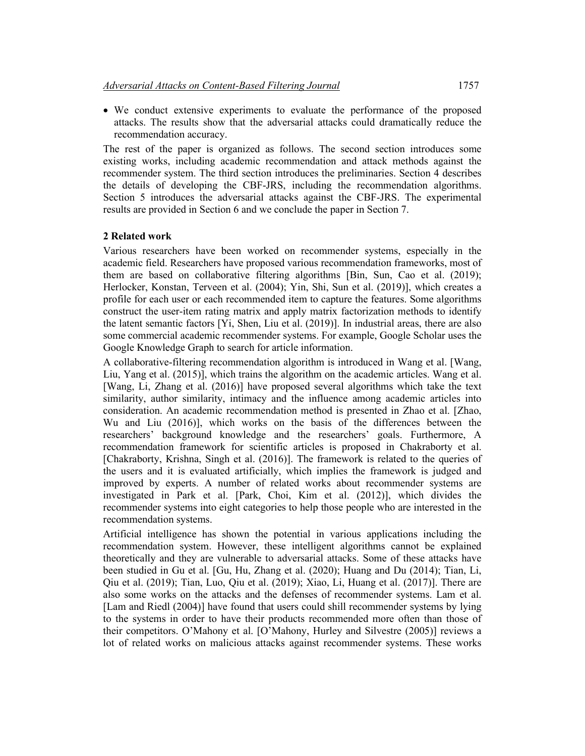• We conduct extensive experiments to evaluate the performance of the proposed attacks. The results show that the adversarial attacks could dramatically reduce the recommendation accuracy.

The rest of the paper is organized as follows. The second section introduces some existing works, including academic recommendation and attack methods against the recommender system. The third section introduces the preliminaries. Section 4 describes the details of developing the CBF-JRS, including the recommendation algorithms. Section 5 introduces the adversarial attacks against the CBF-JRS. The experimental results are provided in Section 6 and we conclude the paper in Section 7.

# **2 Related work**

Various researchers have been worked on recommender systems, especially in the academic field. Researchers have proposed various recommendation frameworks, most of them are based on collaborative filtering algorithms [Bin, Sun, Cao et al. (2019); Herlocker, Konstan, Terveen et al. (2004); Yin, Shi, Sun et al. (2019)], which creates a profile for each user or each recommended item to capture the features. Some algorithms construct the user-item rating matrix and apply matrix factorization methods to identify the latent semantic factors [Yi, Shen, Liu et al. (2019)]. In industrial areas, there are also some commercial academic recommender systems. For example, Google Scholar uses the Google Knowledge Graph to search for article information.

A collaborative-filtering recommendation algorithm is introduced in Wang et al. [Wang, Liu, Yang et al. (2015)], which trains the algorithm on the academic articles. Wang et al. [Wang, Li, Zhang et al. (2016)] have proposed several algorithms which take the text similarity, author similarity, intimacy and the influence among academic articles into consideration. An academic recommendation method is presented in Zhao et al. [Zhao, Wu and Liu (2016)], which works on the basis of the differences between the researchers' background knowledge and the researchers' goals. Furthermore, A recommendation framework for scientific articles is proposed in Chakraborty et al. [Chakraborty, Krishna, Singh et al. (2016)]. The framework is related to the queries of the users and it is evaluated artificially, which implies the framework is judged and improved by experts. A number of related works about recommender systems are investigated in Park et al. [Park, Choi, Kim et al. (2012)], which divides the recommender systems into eight categories to help those people who are interested in the recommendation systems.

Artificial intelligence has shown the potential in various applications including the recommendation system. However, these intelligent algorithms cannot be explained theoretically and they are vulnerable to adversarial attacks. Some of these attacks have been studied in Gu et al. [Gu, Hu, Zhang et al. (2020); Huang and Du (2014); Tian, Li, Qiu et al. (2019); Tian, Luo, Qiu et al. (2019); Xiao, Li, Huang et al. (2017)]. There are also some works on the attacks and the defenses of recommender systems. Lam et al. [Lam and Riedl (2004)] have found that users could shill recommender systems by lying to the systems in order to have their products recommended more often than those of their competitors. O'Mahony et al. [O'Mahony, Hurley and Silvestre (2005)] reviews a lot of related works on malicious attacks against recommender systems. These works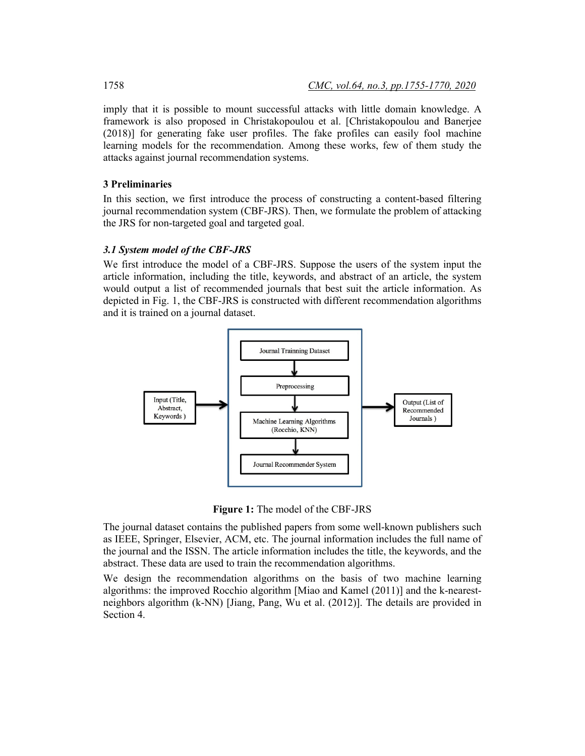imply that it is possible to mount successful attacks with little domain knowledge. A framework is also proposed in Christakopoulou et al. [Christakopoulou and Banerjee (2018)] for generating fake user profiles. The fake profiles can easily fool machine learning models for the recommendation. Among these works, few of them study the attacks against journal recommendation systems.

## **3 Preliminaries**

In this section, we first introduce the process of constructing a content-based filtering journal recommendation system (CBF-JRS). Then, we formulate the problem of attacking the JRS for non-targeted goal and targeted goal.

# *3.1 System model of the CBF-JRS*

We first introduce the model of a CBF-JRS. Suppose the users of the system input the article information, including the title, keywords, and abstract of an article, the system would output a list of recommended journals that best suit the article information. As depicted in Fig. 1, the CBF-JRS is constructed with different recommendation algorithms and it is trained on a journal dataset.



**Figure 1:** The model of the CBF-JRS

The journal dataset contains the published papers from some well-known publishers such as IEEE, Springer, Elsevier, ACM, etc. The journal information includes the full name of the journal and the ISSN. The article information includes the title, the keywords, and the abstract. These data are used to train the recommendation algorithms.

We design the recommendation algorithms on the basis of two machine learning algorithms: the improved Rocchio algorithm [Miao and Kamel (2011)] and the k-nearestneighbors algorithm (k-NN) [Jiang, Pang, Wu et al. (2012)]. The details are provided in Section 4.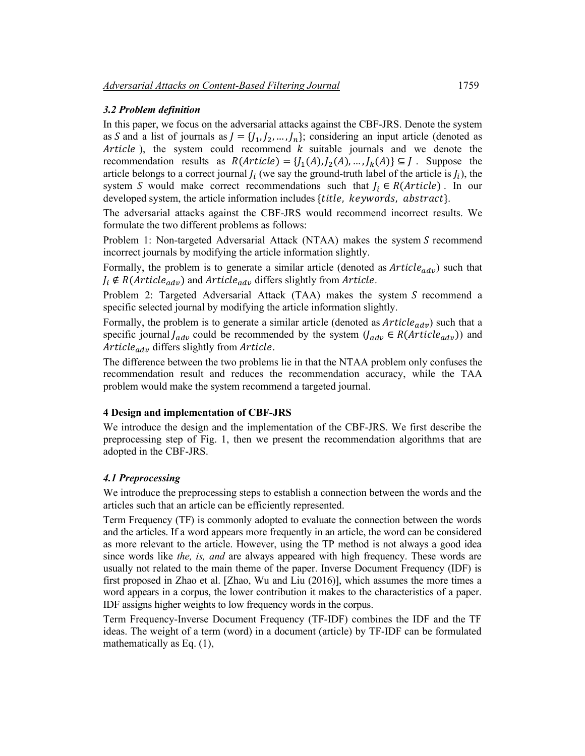#### *3.2 Problem definition*

In this paper, we focus on the adversarial attacks against the CBF-JRS. Denote the system as S and a list of journals as  $J = \{J_1, J_2, ..., J_n\}$ ; considering an input article (denoted as Article), the system could recommend  $k$  suitable journals and we denote the recommendation results as  $R(Article) = \{J_1(A), J_2(A), ..., J_k(A)\} \subseteq J$ . Suppose the article belongs to a correct journal  $J_i$  (we say the ground-truth label of the article is  $J_i$ ), the system S would make correct recommendations such that  $J_i \in R(Article)$ . In our developed system, the article information includes {title, keywords, abstract}.

The adversarial attacks against the CBF-JRS would recommend incorrect results. We formulate the two different problems as follows:

Problem 1: Non-targeted Adversarial Attack (NTAA) makes the system  $S$  recommend incorrect journals by modifying the article information slightly.

Formally, the problem is to generate a similar article (denoted as  $Article_{adv})$  such that  $J_i \notin R(Article_{adv})$  and  $Article_{adv}$  differs slightly from Article.

Problem 2: Targeted Adversarial Attack (TAA) makes the system S recommend a specific selected journal by modifying the article information slightly.

Formally, the problem is to generate a similar article (denoted as  $Article_{adv})$  such that a specific journal  $J_{adv}$  could be recommended by the system  $(J_{adv} \in R(Aritic$ <sub>adv</sub>)) and  $Article_{adv}$  differs slightly from  $Article$ .

The difference between the two problems lie in that the NTAA problem only confuses the recommendation result and reduces the recommendation accuracy, while the TAA problem would make the system recommend a targeted journal.

#### **4 Design and implementation of CBF-JRS**

We introduce the design and the implementation of the CBF-JRS. We first describe the preprocessing step of Fig. 1, then we present the recommendation algorithms that are adopted in the CBF-JRS.

## *4.1 Preprocessing*

We introduce the preprocessing steps to establish a connection between the words and the articles such that an article can be efficiently represented.

Term Frequency (TF) is commonly adopted to evaluate the connection between the words and the articles. If a word appears more frequently in an article, the word can be considered as more relevant to the article. However, using the TP method is not always a good idea since words like *the, is, and* are always appeared with high frequency. These words are usually not related to the main theme of the paper. Inverse Document Frequency (IDF) is first proposed in Zhao et al. [Zhao, Wu and Liu (2016)], which assumes the more times a word appears in a corpus, the lower contribution it makes to the characteristics of a paper. IDF assigns higher weights to low frequency words in the corpus.

Term Frequency-Inverse Document Frequency (TF-IDF) combines the IDF and the TF ideas. The weight of a term (word) in a document (article) by TF-IDF can be formulated mathematically as Eq. (1),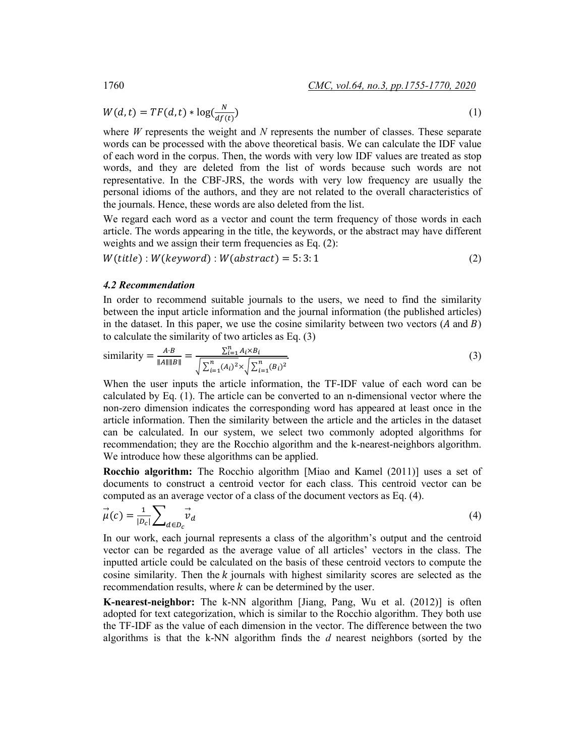$$
W(d,t) = TF(d,t) * \log(\frac{N}{df(t)})
$$
\n(1)

where *W* represents the weight and *N* represents the number of classes. These separate words can be processed with the above theoretical basis. We can calculate the IDF value of each word in the corpus. Then, the words with very low IDF values are treated as stop words, and they are deleted from the list of words because such words are not representative. In the CBF-JRS, the words with very low frequency are usually the personal idioms of the authors, and they are not related to the overall characteristics of the journals. Hence, these words are also deleted from the list.

We regard each word as a vector and count the term frequency of those words in each article. The words appearing in the title, the keywords, or the abstract may have different weights and we assign their term frequencies as Eq. (2):

 $W(title): W(keyword): W(abstract) = 5:3:1$  (2)

#### *4.2 Recommendation*

In order to recommend suitable journals to the users, we need to find the similarity between the input article information and the journal information (the published articles) in the dataset. In this paper, we use the cosine similarity between two vectors  $(A \text{ and } B)$ to calculate the similarity of two articles as Eq. (3)

similarity = 
$$
\frac{A \cdot B}{\|A\| \|B\|} = \frac{\sum_{i=1}^{n} A_i \times B_i}{\sqrt{\sum_{i=1}^{n} (A_i)^2} \times \sqrt{\sum_{i=1}^{n} (B_i)^2}}.
$$
 (3)

When the user inputs the article information, the TF-IDF value of each word can be calculated by Eq. (1). The article can be converted to an n-dimensional vector where the non-zero dimension indicates the corresponding word has appeared at least once in the article information. Then the similarity between the article and the articles in the dataset can be calculated. In our system, we select two commonly adopted algorithms for recommendation; they are the Rocchio algorithm and the k-nearest-neighbors algorithm. We introduce how these algorithms can be applied.

**Rocchio algorithm:** The Rocchio algorithm [Miao and Kamel (2011)] uses a set of documents to construct a centroid vector for each class. This centroid vector can be computed as an average vector of a class of the document vectors as Eq. (4).

$$
\vec{\mu}(c) = \frac{1}{|D_c|} \sum_{d \in D_c} \vec{v}_d
$$
\n(4)

In our work, each journal represents a class of the algorithm's output and the centroid vector can be regarded as the average value of all articles' vectors in the class. The inputted article could be calculated on the basis of these centroid vectors to compute the cosine similarity. Then the  $k$  journals with highest similarity scores are selected as the recommendation results, where  $k$  can be determined by the user.

**K-nearest-neighbor:** The k-NN algorithm [Jiang, Pang, Wu et al. (2012)] is often adopted for text categorization, which is similar to the Rocchio algorithm. They both use the TF-IDF as the value of each dimension in the vector. The difference between the two algorithms is that the k-NN algorithm finds the *d* nearest neighbors (sorted by the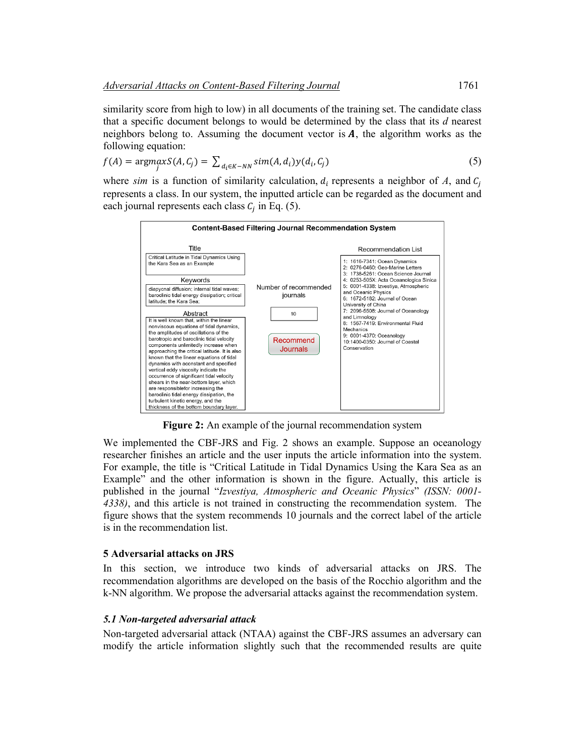similarity score from high to low) in all documents of the training set. The candidate class that a specific document belongs to would be determined by the class that its *d* nearest neighbors belong to. Assuming the document vector is  $\boldsymbol{A}$ , the algorithm works as the following equation:

$$
f(A) = \underset{j}{\text{argmax}} S(A, C_j) = \sum_{d_i \in K - NN} \text{sim}(A, d_i) y(d_i, C_j)
$$
\n<sup>(5)</sup>

where  $sim$  is a function of similarity calculation,  $d_i$  represents a neighbor of  $A$ , and  $C_i$ represents a class. In our system, the inputted article can be regarded as the document and each journal represents each class  $C_i$  in Eq. (5).



**Figure 2:** An example of the journal recommendation system

We implemented the CBF-JRS and Fig. 2 shows an example. Suppose an oceanology researcher finishes an article and the user inputs the article information into the system. For example, the title is "Critical Latitude in Tidal Dynamics Using the Kara Sea as an Example" and the other information is shown in the figure. Actually, this article is published in the journal "*Izvestiya, Atmospheric and Oceanic Physics*" *(ISSN: 0001- 4338)*, and this article is not trained in constructing the recommendation system. The figure shows that the system recommends 10 journals and the correct label of the article is in the recommendation list.

## **5 Adversarial attacks on JRS**

In this section, we introduce two kinds of adversarial attacks on JRS. The recommendation algorithms are developed on the basis of the Rocchio algorithm and the k-NN algorithm. We propose the adversarial attacks against the recommendation system.

## *5.1 Non-targeted adversarial attack*

Non-targeted adversarial attack (NTAA) against the CBF-JRS assumes an adversary can modify the article information slightly such that the recommended results are quite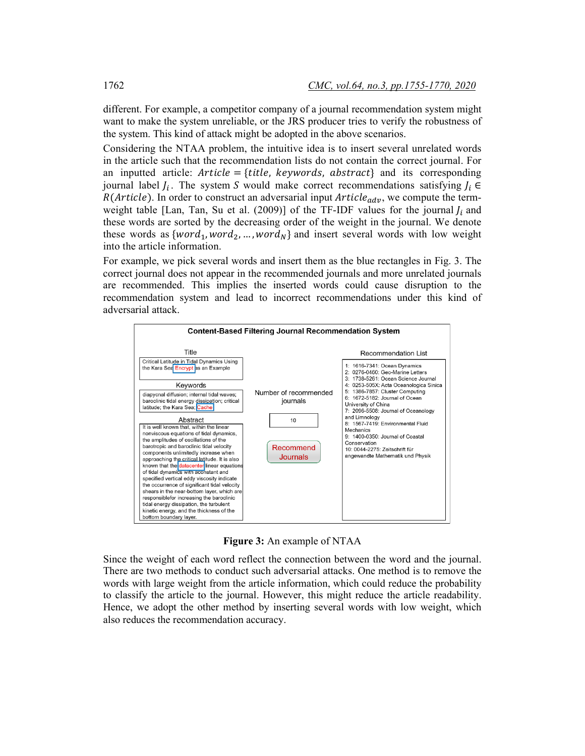different. For example, a competitor company of a journal recommendation system might want to make the system unreliable, or the JRS producer tries to verify the robustness of the system. This kind of attack might be adopted in the above scenarios.

Considering the NTAA problem, the intuitive idea is to insert several unrelated words in the article such that the recommendation lists do not contain the correct journal. For an inputted article:  $Article = \{ title, keywords, abstract \}$  and its corresponding journal label  $J_i$ . The system S would make correct recommendations satisfying  $J_i \in$  $R(Article)$ . In order to construct an adversarial input  $Article_{adv}$ , we compute the termweight table [Lan, Tan, Su et al. (2009)] of the TF-IDF values for the journal  $J_i$  and these words are sorted by the decreasing order of the weight in the journal. We denote these words as  $\{word_1, word_2, ..., word_N\}$  and insert several words with low weight into the article information.

For example, we pick several words and insert them as the blue rectangles in Fig. 3. The correct journal does not appear in the recommended journals and more unrelated journals are recommended. This implies the inserted words could cause disruption to the recommendation system and lead to incorrect recommendations under this kind of adversarial attack.



**Figure 3:** An example of NTAA

Since the weight of each word reflect the connection between the word and the journal. There are two methods to conduct such adversarial attacks. One method is to remove the words with large weight from the article information, which could reduce the probability to classify the article to the journal. However, this might reduce the article readability. Hence, we adopt the other method by inserting several words with low weight, which also reduces the recommendation accuracy.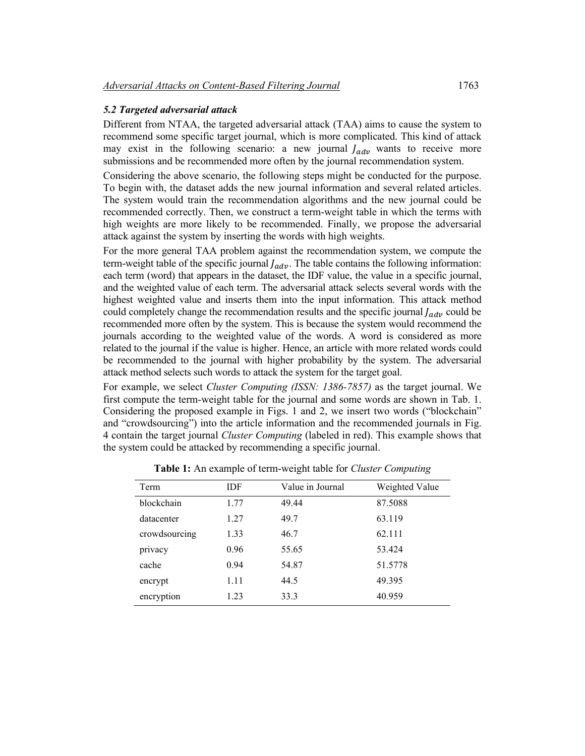## *5.2 Targeted adversarial attack*

Different from NTAA, the targeted adversarial attack (TAA) aims to cause the system to recommend some specific target journal, which is more complicated. This kind of attack may exist in the following scenario: a new journal  $J_{adv}$  wants to receive more submissions and be recommended more often by the journal recommendation system.

Considering the above scenario, the following steps might be conducted for the purpose. To begin with, the dataset adds the new journal information and several related articles. The system would train the recommendation algorithms and the new journal could be recommended correctly. Then, we construct a term-weight table in which the terms with high weights are more likely to be recommended. Finally, we propose the adversarial attack against the system by inserting the words with high weights.

For the more general TAA problem against the recommendation system, we compute the term-weight table of the specific journal  $J_{adv}$ . The table contains the following information: each term (word) that appears in the dataset, the IDF value, the value in a specific journal, and the weighted value of each term. The adversarial attack selects several words with the highest weighted value and inserts them into the input information. This attack method could completely change the recommendation results and the specific journal  $f_{adv}$  could be recommended more often by the system. This is because the system would recommend the journals according to the weighted value of the words. A word is considered as more related to the journal if the value is higher. Hence, an article with more related words could be recommended to the journal with higher probability by the system. The adversarial attack method selects such words to attack the system for the target goal.

For example, we select *Cluster Computing (ISSN: 1386-7857)* as the target journal. We first compute the term-weight table for the journal and some words are shown in Tab. 1. Considering the proposed example in Figs. 1 and 2, we insert two words ("blockchain" and "crowdsourcing") into the article information and the recommended journals in Fig. 4 contain the target journal *Cluster Computing* (labeled in red). This example shows that the system could be attacked by recommending a specific journal.

| Term          | IDF  | Value in Journal | Weighted Value |
|---------------|------|------------------|----------------|
| blockchain    | 1.77 | 49.44            | 87.5088        |
| datacenter    | 1.27 | 49.7             | 63.119         |
| crowdsourcing | 1.33 | 46.7             | 62.111         |
| privacy       | 0.96 | 55.65            | 53.424         |
| cache         | 0.94 | 54.87            | 51.5778        |
| encrypt       | 1.11 | 44.5             | 49.395         |
| encryption    | 1.23 | 33.3             | 40.959         |

**Table 1:** An example of term-weight table for *Cluster Computing*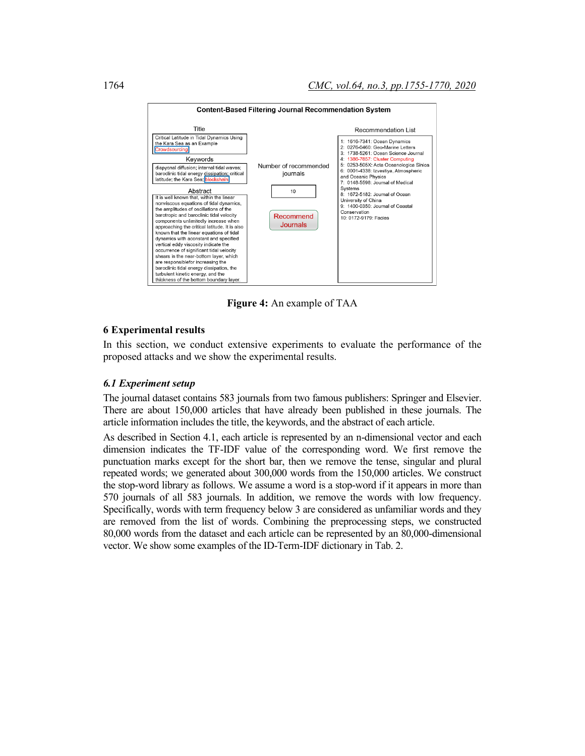

**Figure 4:** An example of TAA

## **6 Experimental results**

In this section, we conduct extensive experiments to evaluate the performance of the proposed attacks and we show the experimental results.

## *6.1 Experiment setup*

The journal dataset contains 583 journals from two famous publishers: Springer and Elsevier. There are about 150,000 articles that have already been published in these journals. The article information includes the title, the keywords, and the abstract of each article.

As described in Section 4.1, each article is represented by an n-dimensional vector and each dimension indicates the TF-IDF value of the corresponding word. We first remove the punctuation marks except for the short bar, then we remove the tense, singular and plural repeated words; we generated about 300,000 words from the 150,000 articles. We construct the stop-word library as follows. We assume a word is a stop-word if it appears in more than 570 journals of all 583 journals. In addition, we remove the words with low frequency. Specifically, words with term frequency below 3 are considered as unfamiliar words and they are removed from the list of words. Combining the preprocessing steps, we constructed 80,000 words from the dataset and each article can be represented by an 80,000-dimensional vector. We show some examples of the ID-Term-IDF dictionary in Tab. 2.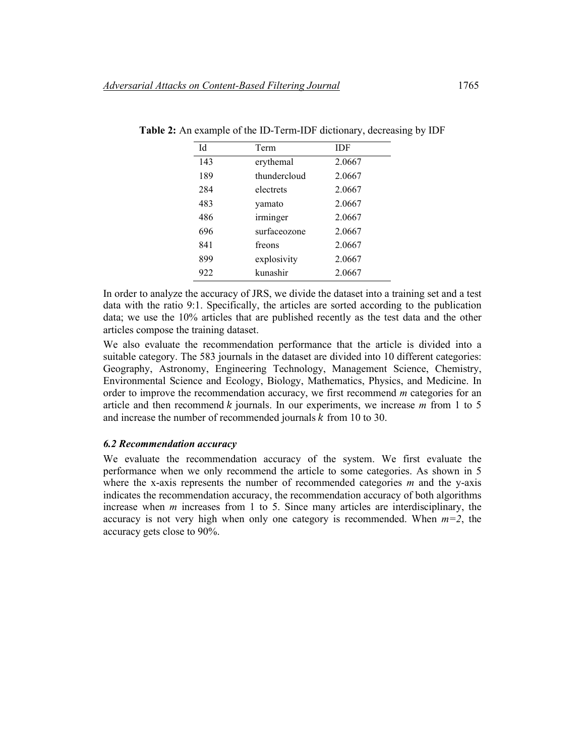| Id  | Term         | IDF    |
|-----|--------------|--------|
| 143 | erythemal    | 2.0667 |
| 189 | thundercloud | 2.0667 |
| 284 | electrets    | 2.0667 |
| 483 | yamato       | 2.0667 |
| 486 | irminger     | 2.0667 |
| 696 | surfaceozone | 2.0667 |
| 841 | freons       | 2.0667 |
| 899 | explosivity  | 2.0667 |
| 922 | kunashir     | 2.0667 |

**Table 2:** An example of the ID-Term-IDF dictionary, decreasing by IDF

In order to analyze the accuracy of JRS, we divide the dataset into a training set and a test data with the ratio 9:1. Specifically, the articles are sorted according to the publication data; we use the 10% articles that are published recently as the test data and the other articles compose the training dataset.

We also evaluate the recommendation performance that the article is divided into a suitable category. The 583 journals in the dataset are divided into 10 different categories: Geography, Astronomy, Engineering Technology, Management Science, Chemistry, Environmental Science and Ecology, Biology, Mathematics, Physics, and Medicine. In order to improve the recommendation accuracy, we first recommend *m* categories for an article and then recommend  $k$  journals. In our experiments, we increase  $m$  from 1 to 5 and increase the number of recommended journals  $k$  from 10 to 30.

#### *6.2 Recommendation accuracy*

We evaluate the recommendation accuracy of the system. We first evaluate the performance when we only recommend the article to some categories. As shown in 5 where the x-axis represents the number of recommended categories *m* and the y-axis indicates the recommendation accuracy, the recommendation accuracy of both algorithms increase when *m* increases from 1 to 5. Since many articles are interdisciplinary, the accuracy is not very high when only one category is recommended. When  $m=2$ , the accuracy gets close to 90%.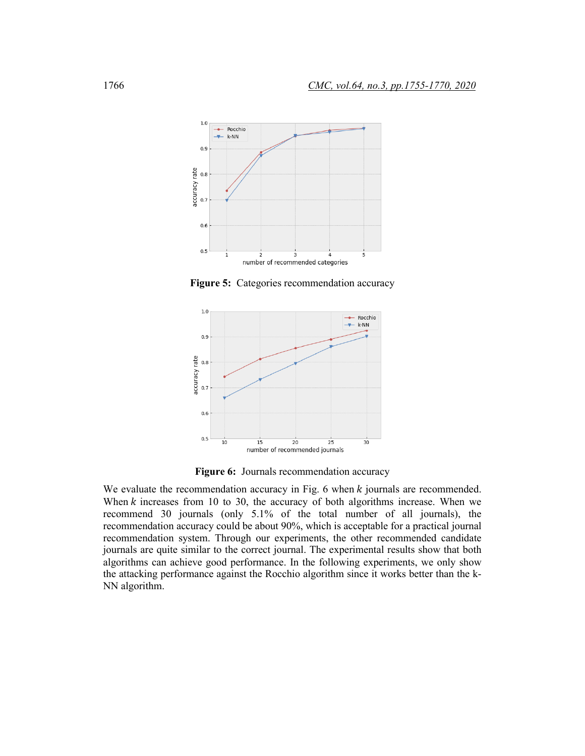

**Figure 5:** Categories recommendation accuracy



**Figure 6:** Journals recommendation accuracy

We evaluate the recommendation accuracy in Fig. 6 when  $k$  journals are recommended. When  $k$  increases from 10 to 30, the accuracy of both algorithms increase. When we recommend 30 journals (only 5.1% of the total number of all journals), the recommendation accuracy could be about 90%, which is acceptable for a practical journal recommendation system. Through our experiments, the other recommended candidate journals are quite similar to the correct journal. The experimental results show that both algorithms can achieve good performance. In the following experiments, we only show the attacking performance against the Rocchio algorithm since it works better than the k-NN algorithm.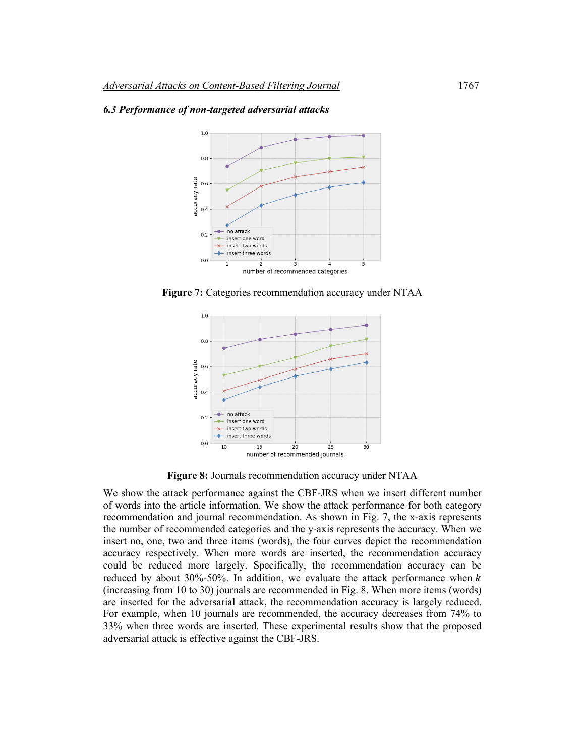

#### *6.3 Performance of non-targeted adversarial attacks*

**Figure 7:** Categories recommendation accuracy under NTAA



**Figure 8:** Journals recommendation accuracy under NTAA

We show the attack performance against the CBF-JRS when we insert different number of words into the article information. We show the attack performance for both category recommendation and journal recommendation. As shown in Fig. 7, the x-axis represents the number of recommended categories and the y-axis represents the accuracy. When we insert no, one, two and three items (words), the four curves depict the recommendation accuracy respectively. When more words are inserted, the recommendation accuracy could be reduced more largely. Specifically, the recommendation accuracy can be reduced by about 30%-50%. In addition, we evaluate the attack performance when  $k$ (increasing from 10 to 30) journals are recommended in Fig. 8. When more items (words) are inserted for the adversarial attack, the recommendation accuracy is largely reduced. For example, when 10 journals are recommended, the accuracy decreases from 74% to 33% when three words are inserted. These experimental results show that the proposed adversarial attack is effective against the CBF-JRS.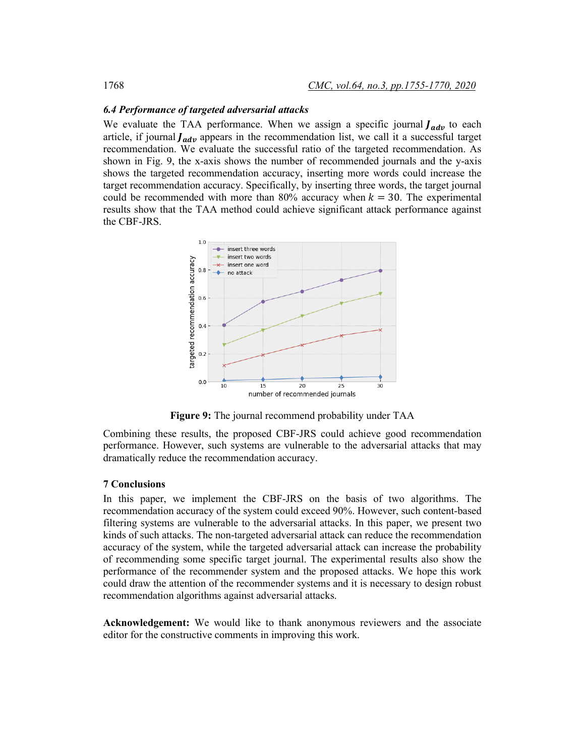#### *6.4 Performance of targeted adversarial attacks*

We evaluate the TAA performance. When we assign a specific journal  $J_{adv}$  to each article, if journal  $J_{adv}$  appears in the recommendation list, we call it a successful target recommendation. We evaluate the successful ratio of the targeted recommendation. As shown in Fig. 9, the x-axis shows the number of recommended journals and the y-axis shows the targeted recommendation accuracy, inserting more words could increase the target recommendation accuracy. Specifically, by inserting three words, the target journal could be recommended with more than 80% accuracy when  $k = 30$ . The experimental results show that the TAA method could achieve significant attack performance against the CBF-JRS.



**Figure 9:** The journal recommend probability under TAA

Combining these results, the proposed CBF-JRS could achieve good recommendation performance. However, such systems are vulnerable to the adversarial attacks that may dramatically reduce the recommendation accuracy.

#### **7 Conclusions**

In this paper, we implement the CBF-JRS on the basis of two algorithms. The recommendation accuracy of the system could exceed 90%. However, such content-based filtering systems are vulnerable to the adversarial attacks. In this paper, we present two kinds of such attacks. The non-targeted adversarial attack can reduce the recommendation accuracy of the system, while the targeted adversarial attack can increase the probability of recommending some specific target journal. The experimental results also show the performance of the recommender system and the proposed attacks. We hope this work could draw the attention of the recommender systems and it is necessary to design robust recommendation algorithms against adversarial attacks.

**Acknowledgement:** We would like to thank anonymous reviewers and the associate editor for the constructive comments in improving this work.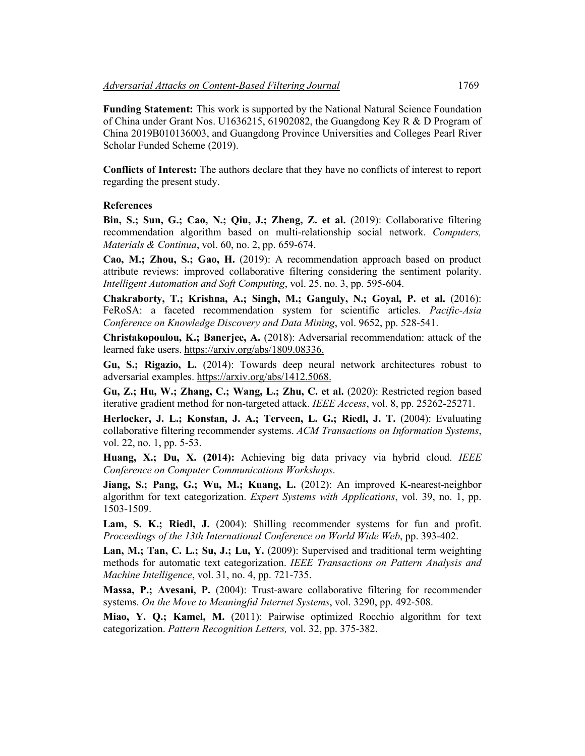**Funding Statement:** This work is supported by the National Natural Science Foundation of China under Grant Nos. U1636215, 61902082, the Guangdong Key R & D Program of China 2019B010136003, and Guangdong Province Universities and Colleges Pearl River Scholar Funded Scheme (2019).

**Conflicts of Interest:** The authors declare that they have no conflicts of interest to report regarding the present study.

#### **References**

Bin, S.; Sun, G.; Cao, N.; Qiu, J.; Zheng, Z. et al. (2019): Collaborative filtering recommendation algorithm based on multi-relationship social network. *Computers, Materials & Continua*, vol. 60, no. 2, pp. 659-674.

**Cao, M.; Zhou, S.; Gao, H.** (2019): A recommendation approach based on product attribute reviews: improved collaborative filtering considering the sentiment polarity. *Intelligent Automation and Soft Computing*, vol. 25, no. 3, pp. 595-604.

**Chakraborty, T.; Krishna, A.; Singh, M.; Ganguly, N.; Goyal, P. et al.** (2016): FeRoSA: a faceted recommendation system for scientific articles. *Pacific-Asia Conference on Knowledge Discovery and Data Mining*, vol. 9652, pp. 528-541.

**Christakopoulou, K.; Banerjee, A.** (2018): Adversarial recommendation: attack of the learned fake users. https://arxiv.org/abs/1809.08336.

**Gu, S.; Rigazio, L.** (2014): Towards deep neural network architectures robust to adversarial examples. https://arxiv.org/abs/1412.5068.

**Gu, Z.; Hu, W.; Zhang, C.; Wang, L.; Zhu, C. et al.** (2020): Restricted region based iterative gradient method for non-targeted attack. *IEEE Access*, vol. 8, pp. 25262-25271.

**Herlocker, J. L.; Konstan, J. A.; Terveen, L. G.; Riedl, J. T. (2004): Evaluating** collaborative filtering recommender systems. *ACM Transactions on Information Systems*, vol. 22, no. 1, pp. 5-53.

**Huang, X.; Du, X. (2014):** Achieving big data privacy via hybrid cloud. *IEEE Conference on Computer Communications Workshops*.

**Jiang, S.; Pang, G.; Wu, M.; Kuang, L.** (2012): An improved K-nearest-neighbor algorithm for text categorization. *Expert Systems with Applications*, vol. 39, no. 1, pp. 1503-1509.

Lam, S. K.; Riedl, J. (2004): Shilling recommender systems for fun and profit. *Proceedings of the 13th International Conference on World Wide Web*, pp. 393-402.

**Lan, M.; Tan, C. L.; Su, J.; Lu, Y.** (2009): Supervised and traditional term weighting methods for automatic text categorization. *IEEE Transactions on Pattern Analysis and Machine Intelligence*, vol. 31, no. 4, pp. 721-735.

**Massa, P.; Avesani, P.** (2004): Trust-aware collaborative filtering for recommender systems. *On the Move to Meaningful Internet Systems*, vol. 3290, pp. 492-508.

**Miao, Y. Q.; Kamel, M.** (2011): Pairwise optimized Rocchio algorithm for text categorization. *Pattern Recognition Letters,* vol. 32, pp. 375-382.